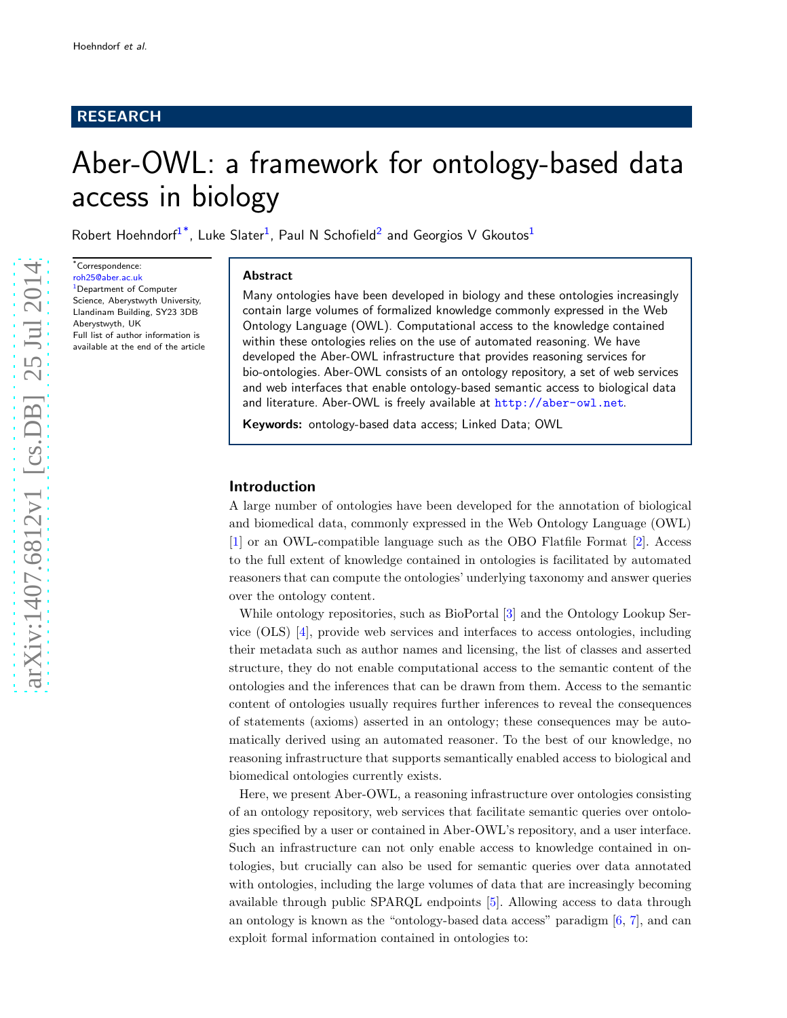## RESEARCH

# Aber-OWL: a framework for ontology-based data access in biology

Robert Hoehndorf<sup>[1](#page-10-0)[\\*](#page-0-0)</sup>, Luke Slater<sup>1</sup>, Paul N Schofield<sup>[2](#page-10-1)</sup> and Georgios V Gkoutos<sup>1</sup>

<span id="page-0-0"></span>\*Correspondence: [roh25@aber.ac.uk](mailto:roh25@aber.ac.uk)

[1](#page-10-0)Department of Computer Science, Aberystwyth University, Llandinam Building, SY23 3DB Aberystwyth, UK Full list of author information is available at the end of the article

## Abstract

Many ontologies have been developed in biology and these ontologies increasingly contain large volumes of formalized knowledge commonly expressed in the Web Ontology Language (OWL). Computational access to the knowledge contained within these ontologies relies on the use of automated reasoning. We have developed the Aber-OWL infrastructure that provides reasoning services for bio-ontologies. Aber-OWL consists of an ontology repository, a set of web services and web interfaces that enable ontology-based semantic access to biological data and literature. Aber-OWL is freely available at <http://aber-owl.net>.

Keywords: ontology-based data access; Linked Data; OWL

## Introduction

A large number of ontologies have been developed for the annotation of biological and biomedical data, commonly expressed in the Web Ontology Language (OWL) [\[1](#page-10-2)] or an OWL-compatible language such as the OBO Flatfile Format [\[2\]](#page-10-3). Access to the full extent of knowledge contained in ontologies is facilitated by automated reasoners that can compute the ontologies' underlying taxonomy and answer queries over the ontology content.

While ontology repositories, such as BioPortal [ [3](#page-10-4)] and the Ontology Lookup Service (OLS) [\[4\]](#page-10-5), provide web services and interfaces to access ontologies, including their metadata such as author names and licensing, the list of classes and asserted structure, they do not enable computational access to the semantic content of the ontologies and the inferences that can be drawn from them. Access to the semantic content of ontologies usually requires further inferences to reveal the consequences of statements (axioms) asserted in an ontology; these consequences may be automatically derived using an automated reasoner. To the best of our knowledge, no reasoning infrastructure that supports semantically enabled access to biological and biomedical ontologies currently exists.

Here, we present Aber-OWL, a reasoning infrastructure over ontologies consisting of an ontology repository, web services that facilitate semantic queries over ontologies specified by a user or contained in Aber-OWL's repository, and a user interface. Such an infrastructure can not only enable access to knowledge contained in ontologies, but crucially can also be used for semantic queries over data annotated with ontologies, including the large volumes of data that are increasingly becoming available through public SPARQL endpoints [ [5](#page-10-6)]. Allowing access to data through an ontology is known as the "ontology-based data access" paradigm  $[6, 7]$  $[6, 7]$  $[6, 7]$  $[6, 7]$  $[6, 7]$ , and can exploit formal information contained in ontologies to: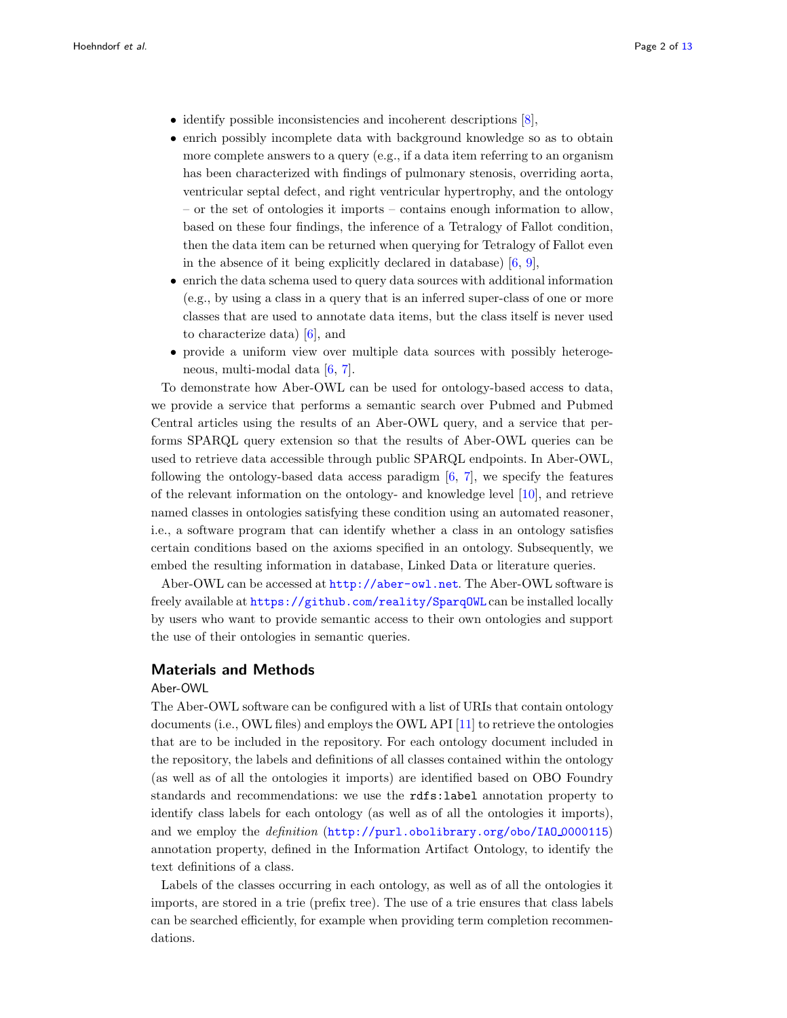- identify possible inconsistencies and incoherent descriptions [\[8](#page-10-9)],
- enrich possibly incomplete data with background knowledge so as to obtain more complete answers to a query (e.g., if a data item referring to an organism has been characterized with findings of pulmonary stenosis, overriding aorta, ventricular septal defect, and right ventricular hypertrophy, and the ontology – or the set of ontologies it imports – contains enough information to allow, based on these four findings, the inference of a Tetralogy of Fallot condition, then the data item can be returned when querying for Tetralogy of Fallot even in the absence of it being explicitly declared in database)  $[6, 9]$  $[6, 9]$  $[6, 9]$ ,
- enrich the data schema used to query data sources with additional information (e.g., by using a class in a query that is an inferred super-class of one or more classes that are used to annotate data items, but the class itself is never used to characterize data) [\[6](#page-10-7)], and
- provide a uniform view over multiple data sources with possibly heterogeneous, multi-modal data [\[6,](#page-10-7) [7\]](#page-10-8).

To demonstrate how Aber-OWL can be used for ontology-based access to data, we provide a service that performs a semantic search over Pubmed and Pubmed Central articles using the results of an Aber-OWL query, and a service that performs SPARQL query extension so that the results of Aber-OWL queries can be used to retrieve data accessible through public SPARQL endpoints. In Aber-OWL, following the ontology-based data access paradigm  $[6, 7]$  $[6, 7]$  $[6, 7]$ , we specify the features of the relevant information on the ontology- and knowledge level [\[10](#page-11-1)], and retrieve named classes in ontologies satisfying these condition using an automated reasoner, i.e., a software program that can identify whether a class in an ontology satisfies certain conditions based on the axioms specified in an ontology. Subsequently, we embed the resulting information in database, Linked Data or literature queries.

Aber-OWL can be accessed at <http://aber-owl.net>. The Aber-OWL software is freely available at <https://github.com/reality/SparqOWL> can be installed locally by users who want to provide semantic access to their own ontologies and support the use of their ontologies in semantic queries.

#### Materials and Methods

#### Aber-OWL

The Aber-OWL software can be configured with a list of URIs that contain ontology documents (i.e., OWL files) and employs the OWL API [\[11](#page-11-2)] to retrieve the ontologies that are to be included in the repository. For each ontology document included in the repository, the labels and definitions of all classes contained within the ontology (as well as of all the ontologies it imports) are identified based on OBO Foundry standards and recommendations: we use the rdfs:label annotation property to identify class labels for each ontology (as well as of all the ontologies it imports), and we employ the *definition* ([http://purl.obolibrary.org/obo/IAO](http://purl.obo-library.org/obo/IAO_0000115)\_0000115) annotation property, defined in the Information Artifact Ontology, to identify the text definitions of a class.

Labels of the classes occurring in each ontology, as well as of all the ontologies it imports, are stored in a trie (prefix tree). The use of a trie ensures that class labels can be searched efficiently, for example when providing term completion recommendations.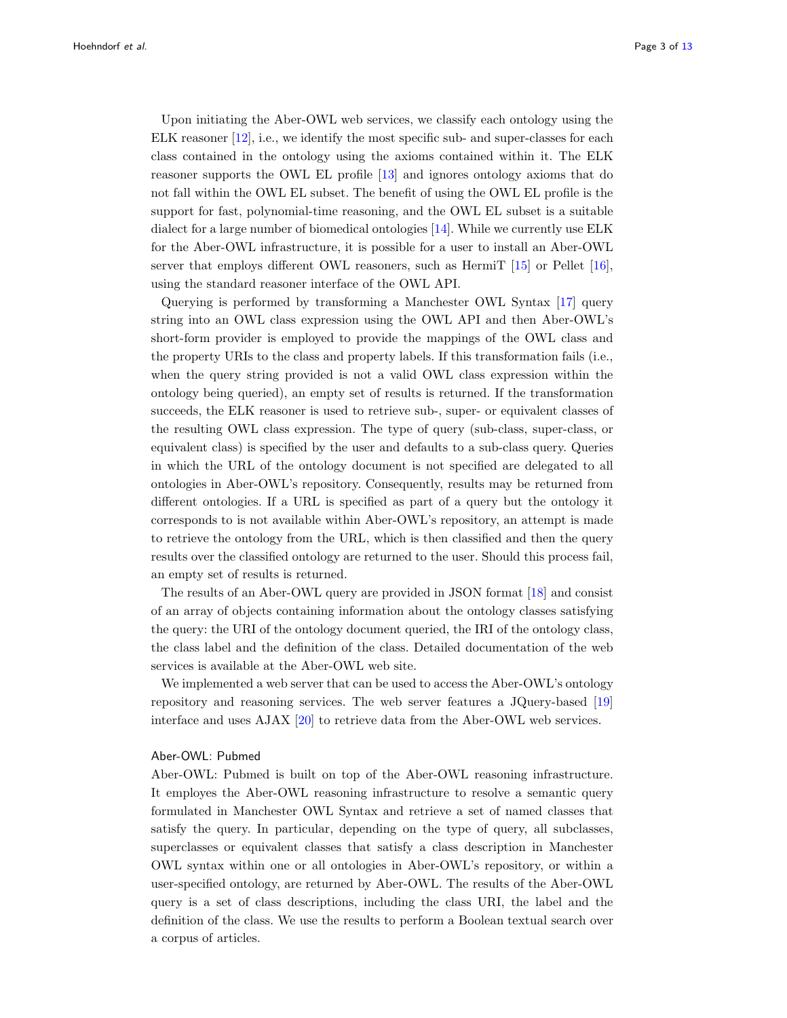Upon initiating the Aber-OWL web services, we classify each ontology using the ELK reasoner  $[12]$ , i.e., we identify the most specific sub- and super-classes for each class contained in the ontology using the axioms contained within it. The ELK reasoner supports the OWL EL profile [\[13\]](#page-11-4) and ignores ontology axioms that do not fall within the OWL EL subset. The benefit of using the OWL EL profile is the support for fast, polynomial-time reasoning, and the OWL EL subset is a suitable dialect for a large number of biomedical ontologies [\[14\]](#page-11-5). While we currently use ELK for the Aber-OWL infrastructure, it is possible for a user to install an Aber-OWL server that employs different OWL reasoners, such as  $\text{Hermi}T$  [\[15\]](#page-11-6) or Pellet [\[16\]](#page-11-7), using the standard reasoner interface of the OWL API.

Querying is performed by transforming a Manchester OWL Syntax [\[17\]](#page-11-8) query string into an OWL class expression using the OWL API and then Aber-OWL's short-form provider is employed to provide the mappings of the OWL class and the property URIs to the class and property labels. If this transformation fails (i.e., when the query string provided is not a valid OWL class expression within the ontology being queried), an empty set of results is returned. If the transformation succeeds, the ELK reasoner is used to retrieve sub-, super- or equivalent classes of the resulting OWL class expression. The type of query (sub-class, super-class, or equivalent class) is specified by the user and defaults to a sub-class query. Queries in which the URL of the ontology document is not specified are delegated to all ontologies in Aber-OWL's repository. Consequently, results may be returned from different ontologies. If a URL is specified as part of a query but the ontology it corresponds to is not available within Aber-OWL's repository, an attempt is made to retrieve the ontology from the URL, which is then classified and then the query results over the classified ontology are returned to the user. Should this process fail, an empty set of results is returned.

The results of an Aber-OWL query are provided in JSON format [\[18\]](#page-11-9) and consist of an array of objects containing information about the ontology classes satisfying the query: the URI of the ontology document queried, the IRI of the ontology class, the class label and the definition of the class. Detailed documentation of the web services is available at the Aber-OWL web site.

We implemented a web server that can be used to access the Aber-OWL's ontology repository and reasoning services. The web server features a JQuery-based [\[19\]](#page-11-10) interface and uses AJAX [\[20](#page-11-11)] to retrieve data from the Aber-OWL web services.

#### Aber-OWL: Pubmed

Aber-OWL: Pubmed is built on top of the Aber-OWL reasoning infrastructure. It employes the Aber-OWL reasoning infrastructure to resolve a semantic query formulated in Manchester OWL Syntax and retrieve a set of named classes that satisfy the query. In particular, depending on the type of query, all subclasses, superclasses or equivalent classes that satisfy a class description in Manchester OWL syntax within one or all ontologies in Aber-OWL's repository, or within a user-specified ontology, are returned by Aber-OWL. The results of the Aber-OWL query is a set of class descriptions, including the class URI, the label and the definition of the class. We use the results to perform a Boolean textual search over a corpus of articles.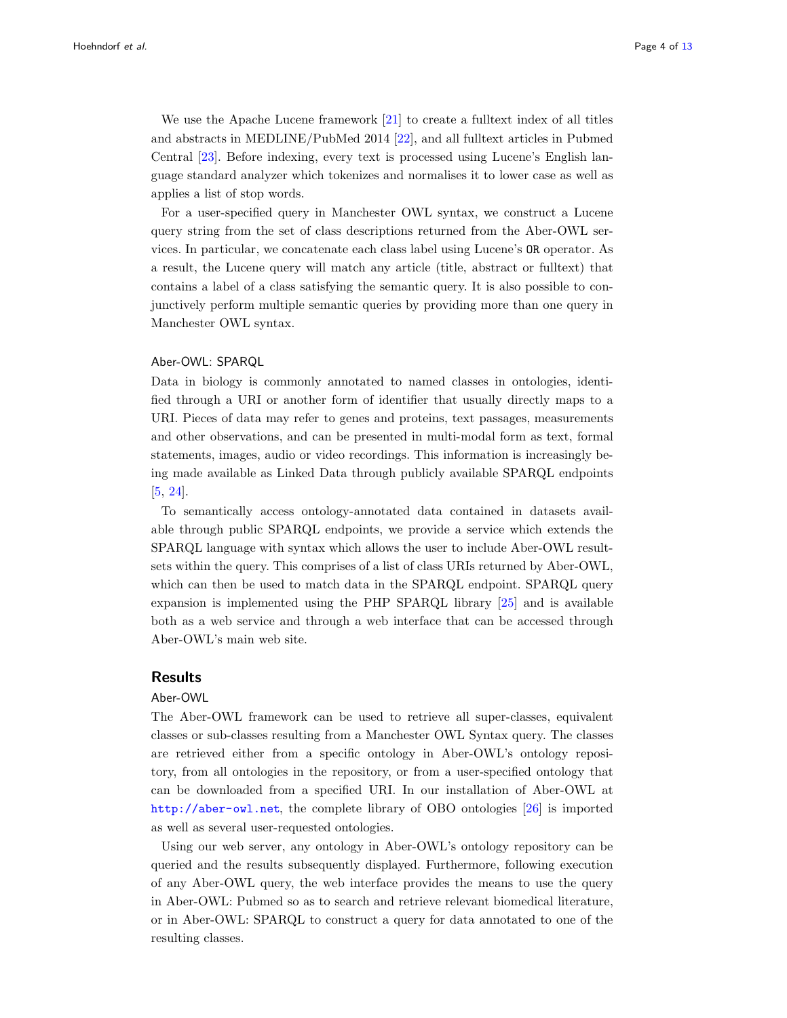We use the Apache Lucene framework [\[21](#page-11-12)] to create a fulltext index of all titles and abstracts in MEDLINE/PubMed 2014 [\[22](#page-11-13)], and all fulltext articles in Pubmed Central [\[23\]](#page-11-14). Before indexing, every text is processed using Lucene's English language standard analyzer which tokenizes and normalises it to lower case as well as applies a list of stop words.

For a user-specified query in Manchester OWL syntax, we construct a Lucene query string from the set of class descriptions returned from the Aber-OWL services. In particular, we concatenate each class label using Lucene's OR operator. As a result, the Lucene query will match any article (title, abstract or fulltext) that contains a label of a class satisfying the semantic query. It is also possible to conjunctively perform multiple semantic queries by providing more than one query in Manchester OWL syntax.

#### Aber-OWL: SPARQL

Data in biology is commonly annotated to named classes in ontologies, identified through a URI or another form of identifier that usually directly maps to a URI. Pieces of data may refer to genes and proteins, text passages, measurements and other observations, and can be presented in multi-modal form as text, formal statements, images, audio or video recordings. This information is increasingly being made available as Linked Data through publicly available SPARQL endpoints [\[5](#page-10-6), [24](#page-11-15)].

To semantically access ontology-annotated data contained in datasets available through public SPARQL endpoints, we provide a service which extends the SPARQL language with syntax which allows the user to include Aber-OWL resultsets within the query. This comprises of a list of class URIs returned by Aber-OWL, which can then be used to match data in the SPARQL endpoint. SPARQL query expansion is implemented using the PHP SPARQL library [\[25\]](#page-11-16) and is available both as a web service and through a web interface that can be accessed through Aber-OWL's main web site.

## Results

#### Aber-OWL

The Aber-OWL framework can be used to retrieve all super-classes, equivalent classes or sub-classes resulting from a Manchester OWL Syntax query. The classes are retrieved either from a specific ontology in Aber-OWL's ontology repository, from all ontologies in the repository, or from a user-specified ontology that can be downloaded from a specified URI. In our installation of Aber-OWL at <http://aber-owl.net>, the complete library of OBO ontologies [\[26](#page-11-17)] is imported as well as several user-requested ontologies.

Using our web server, any ontology in Aber-OWL's ontology repository can be queried and the results subsequently displayed. Furthermore, following execution of any Aber-OWL query, the web interface provides the means to use the query in Aber-OWL: Pubmed so as to search and retrieve relevant biomedical literature, or in Aber-OWL: SPARQL to construct a query for data annotated to one of the resulting classes.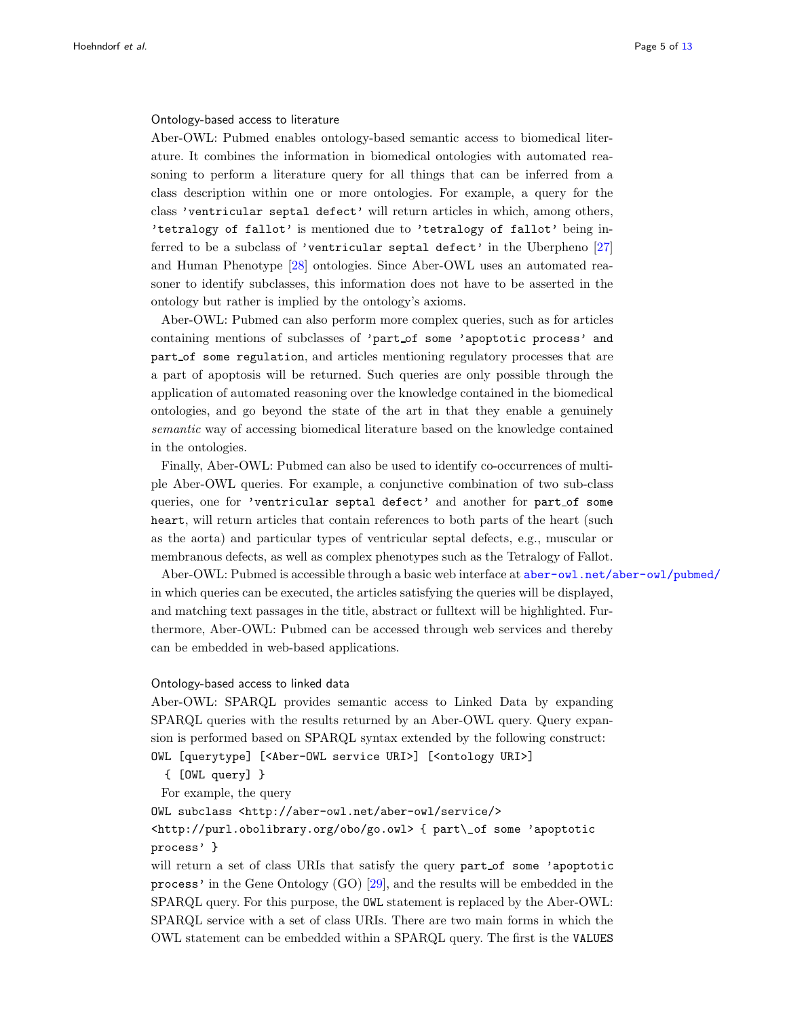#### Ontology-based access to literature

Aber-OWL: Pubmed enables ontology-based semantic access to biomedical literature. It combines the information in biomedical ontologies with automated reasoning to perform a literature query for all things that can be inferred from a class description within one or more ontologies. For example, a query for the class 'ventricular septal defect' will return articles in which, among others, 'tetralogy of fallot' is mentioned due to 'tetralogy of fallot' being inferred to be a subclass of 'ventricular septal defect' in the Uberpheno [\[27\]](#page-11-18) and Human Phenotype [\[28\]](#page-11-19) ontologies. Since Aber-OWL uses an automated reasoner to identify subclasses, this information does not have to be asserted in the ontology but rather is implied by the ontology's axioms.

Aber-OWL: Pubmed can also perform more complex queries, such as for articles containing mentions of subclasses of 'part\_of some 'apoptotic process' and part of some regulation, and articles mentioning regulatory processes that are a part of apoptosis will be returned. Such queries are only possible through the application of automated reasoning over the knowledge contained in the biomedical ontologies, and go beyond the state of the art in that they enable a genuinely semantic way of accessing biomedical literature based on the knowledge contained in the ontologies.

Finally, Aber-OWL: Pubmed can also be used to identify co-occurrences of multiple Aber-OWL queries. For example, a conjunctive combination of two sub-class queries, one for 'ventricular septal defect' and another for part of some heart, will return articles that contain references to both parts of the heart (such as the aorta) and particular types of ventricular septal defects, e.g., muscular or membranous defects, as well as complex phenotypes such as the Tetralogy of Fallot.

Aber-OWL: Pubmed is accessible through a basic web interface at <aber-owl.net/aber-owl/pubmed/> in which queries can be executed, the articles satisfying the queries will be displayed, and matching text passages in the title, abstract or fulltext will be highlighted. Furthermore, Aber-OWL: Pubmed can be accessed through web services and thereby can be embedded in web-based applications.

#### Ontology-based access to linked data

Aber-OWL: SPARQL provides semantic access to Linked Data by expanding SPARQL queries with the results returned by an Aber-OWL query. Query expansion is performed based on SPARQL syntax extended by the following construct: OWL [querytype] [<Aber-OWL service URI>] [<ontology URI>]

{ [OWL query] }

For example, the query

OWL subclass <http://aber-owl.net/aber-owl/service/>

<http://purl.obolibrary.org/obo/go.owl> { part\\_of some 'apoptotic process' }

will return a set of class URIs that satisfy the query part of some 'apoptotic process' in the Gene Ontology (GO) [\[29\]](#page-11-20), and the results will be embedded in the SPARQL query. For this purpose, the OWL statement is replaced by the Aber-OWL: SPARQL service with a set of class URIs. There are two main forms in which the OWL statement can be embedded within a SPARQL query. The first is the VALUES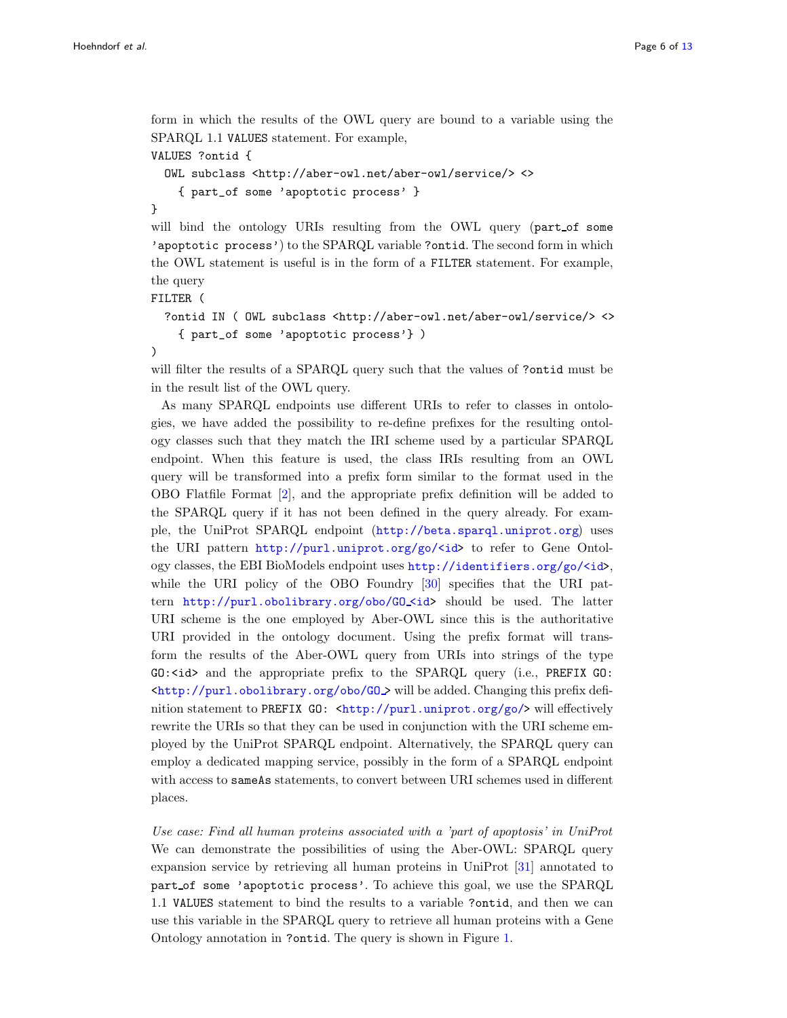form in which the results of the OWL query are bound to a variable using the SPARQL 1.1 VALUES statement. For example,

VALUES ?ontid {

```
OWL subclass <http://aber-owl.net/aber-owl/service/> <>
  { part_of some 'apoptotic process' }
```
}

will bind the ontology URIs resulting from the OWL query (part of some 'apoptotic process') to the SPARQL variable ?ontid. The second form in which the OWL statement is useful is in the form of a FILTER statement. For example, the query

FILTER (

```
?ontid IN ( OWL subclass <http://aber-owl.net/aber-owl/service/> <>
  { part_of some 'apoptotic process'} )
```
)

will filter the results of a SPARQL query such that the values of ?ontid must be in the result list of the OWL query.

As many SPARQL endpoints use different URIs to refer to classes in ontologies, we have added the possibility to re-define prefixes for the resulting ontology classes such that they match the IRI scheme used by a particular SPARQL endpoint. When this feature is used, the class IRIs resulting from an OWL query will be transformed into a prefix form similar to the format used in the OBO Flatfile Format [\[2](#page-10-3)], and the appropriate prefix definition will be added to the SPARQL query if it has not been defined in the query already. For example, the UniProt SPARQL endpoint (<http://beta.sparql.uniprot.org>) uses the URI pattern [http://purl.uniprot.org/go/<id>](http://purl.uniprot.org/go/<id) to refer to Gene Ontology classes, the EBI BioModels endpoint uses [http://identifiers.org/go/<id>](http://identifiers.org/go/<id), while the URI policy of the OBO Foundry [\[30\]](#page-11-21) specifies that the URI pattern [http://purl.obolibrary.org/obo/GO](http://purl.obolibrary.org/obo/GO_<id)\_<id> should be used. The latter URI scheme is the one employed by Aber-OWL since this is the authoritative URI provided in the ontology document. Using the prefix format will transform the results of the Aber-OWL query from URIs into strings of the type GO: <id> and the appropriate prefix to the SPARQL query (i.e., PREFIX GO: [<http://purl.obolibrary.org/obo/GO](http://purl.obolibrary.org/obo/GO_) > will be added. Changing this prefix defi-nition statement to PREFIX GO: [<http://purl.uniprot.org/go/>](http://purl.uniprot.org/go/) will effectively rewrite the URIs so that they can be used in conjunction with the URI scheme employed by the UniProt SPARQL endpoint. Alternatively, the SPARQL query can employ a dedicated mapping service, possibly in the form of a SPARQL endpoint with access to same As statements, to convert between URI schemes used in different places.

Use case: Find all human proteins associated with a 'part of apoptosis' in UniProt We can demonstrate the possibilities of using the Aber-OWL: SPARQL query expansion service by retrieving all human proteins in UniProt [\[31](#page-11-22)] annotated to part of some 'apoptotic process'. To achieve this goal, we use the SPARQL 1.1 VALUES statement to bind the results to a variable ?ontid, and then we can use this variable in the SPARQL query to retrieve all human proteins with a Gene Ontology annotation in ?ontid. The query is shown in Figure [1.](#page-6-0)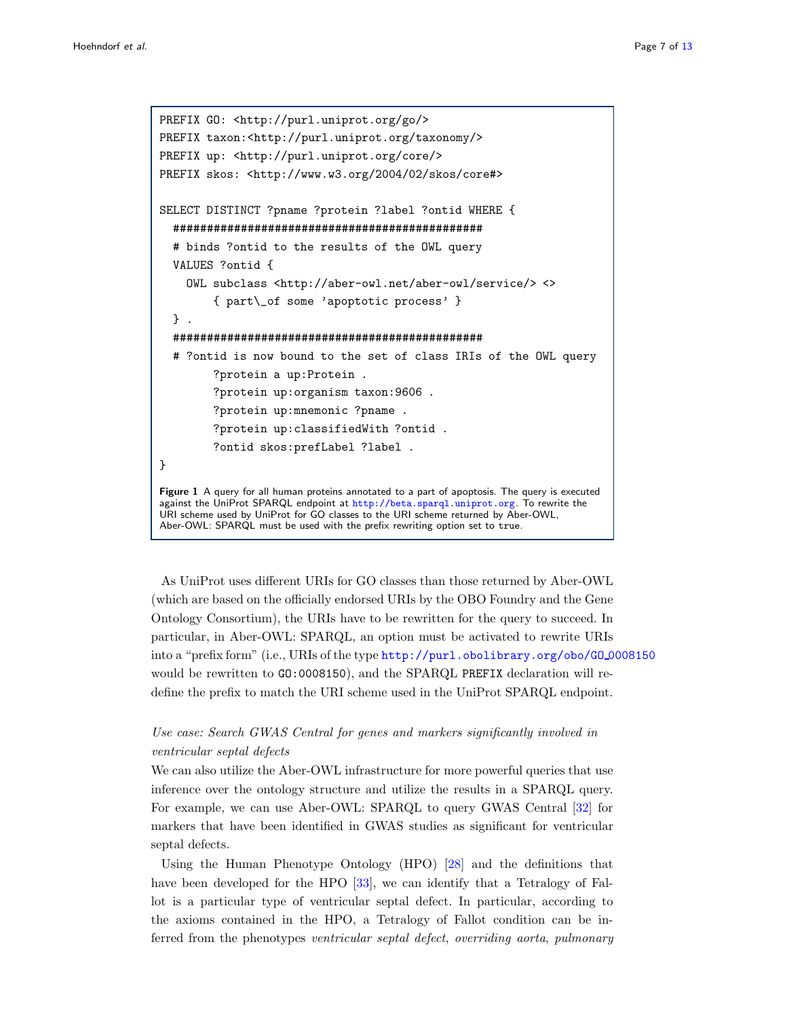```
PREFIX GO: <http://purl.uniprot.org/go/>
PREFIX taxon:<http://purl.uniprot.org/taxonomy/>
PREFIX up: <http://purl.uniprot.org/core/>
PREFIX skos: <http://www.w3.org/2004/02/skos/core#>
SELECT DISTINCT ?pname ?protein ?label ?ontid WHERE {
  ##############################################
  # binds ?ontid to the results of the OWL query
  VALUES ?ontid {
    OWL subclass <http://aber-owl.net/aber-owl/service/> <>
         { part\_of some 'apoptotic process' }
  } .
  ##############################################
  # ?ontid is now bound to the set of class IRIs of the OWL query
        ?protein a up:Protein .
        ?protein up:organism taxon:9606 .
        ?protein up:mnemonic ?pname .
        ?protein up:classifiedWith ?ontid .
        ?ontid skos:prefLabel ?label .
}
Figure 1 A query for all human proteins annotated to a part of apoptosis. The query is executed
against the UniProt SPARQL endpoint at http://beta.sparql.uniprot.org. To rewrite the
URI scheme used by UniProt for GO classes to the URI scheme returned by Aber-OWL,
Aber-OWL: SPARQL must be used with the prefix rewriting option set to true.
```
<span id="page-6-0"></span>As UniProt uses different URIs for GO classes than those returned by Aber-OWL (which are based on the officially endorsed URIs by the OBO Foundry and the Gene Ontology Consortium), the URIs have to be rewritten for the query to succeed. In particular, in Aber-OWL: SPARQL, an option must be activated to rewrite URIs into a "prefix form" (i.e., URIs of the type [http://purl.obolibrary.org/obo/GO](http://purl.obolibrary.org/obo/GO_0008150) 0008150 would be rewritten to GO:0008150), and the SPARQL PREFIX declaration will redefine the prefix to match the URI scheme used in the UniProt SPARQL endpoint.

## Use case: Search GWAS Central for genes and markers significantly involved in ventricular septal defects

We can also utilize the Aber-OWL infrastructure for more powerful queries that use inference over the ontology structure and utilize the results in a SPARQL query. For example, we can use Aber-OWL: SPARQL to query GWAS Central [\[32](#page-11-23)] for markers that have been identified in GWAS studies as significant for ventricular septal defects.

Using the Human Phenotype Ontology (HPO) [\[28\]](#page-11-19) and the definitions that have been developed for the HPO [\[33\]](#page-11-24), we can identify that a Tetralogy of Fallot is a particular type of ventricular septal defect. In particular, according to the axioms contained in the HPO, a Tetralogy of Fallot condition can be inferred from the phenotypes ventricular septal defect, overriding aorta, pulmonary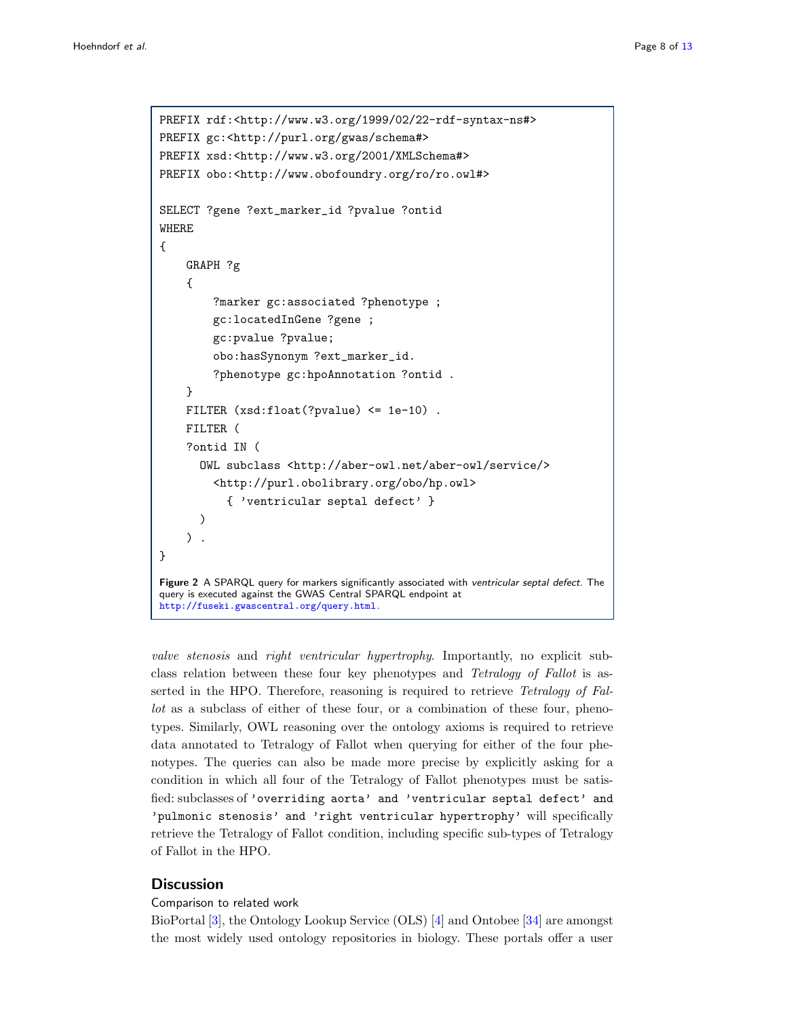```
PREFIX rdf:<http://www.w3.org/1999/02/22-rdf-syntax-ns#>
PREFIX gc:<http://purl.org/gwas/schema#>
PREFIX xsd:<http://www.w3.org/2001/XMLSchema#>
PREFIX obo:<http://www.obofoundry.org/ro/ro.owl#>
SELECT ?gene ?ext_marker_id ?pvalue ?ontid
WHERE
{
    GRAPH ?g
    {
        ?marker gc:associated ?phenotype ;
        gc:locatedInGene ?gene ;
        gc:pvalue ?pvalue;
        obo:hasSynonym ?ext_marker_id.
        ?phenotype gc:hpoAnnotation ?ontid .
    }
    FILTER (xsd:float(?pvalue) <= 1e-10) .
    FILTER (
    ?ontid IN (
      OWL subclass <http://aber-owl.net/aber-owl/service/>
        <http://purl.obolibrary.org/obo/hp.owl>
           { 'ventricular septal defect' }
      )
    ) .
}
Figure 2 A SPARQL query for markers significantly associated with ventricular septal defect. The
query is executed against the GWAS Central SPARQL endpoint at
http://fuseki.gwascentral.org/query.html.
```
valve stenosis and right ventricular hypertrophy. Importantly, no explicit subclass relation between these four key phenotypes and Tetralogy of Fallot is asserted in the HPO. Therefore, reasoning is required to retrieve Tetralogy of Fallot as a subclass of either of these four, or a combination of these four, phenotypes. Similarly, OWL reasoning over the ontology axioms is required to retrieve data annotated to Tetralogy of Fallot when querying for either of the four phenotypes. The queries can also be made more precise by explicitly asking for a condition in which all four of the Tetralogy of Fallot phenotypes must be satisfied: subclasses of 'overriding aorta' and 'ventricular septal defect' and 'pulmonic stenosis' and 'right ventricular hypertrophy' will specifically retrieve the Tetralogy of Fallot condition, including specific sub-types of Tetralogy of Fallot in the HPO.

## **Discussion**

#### Comparison to related work

BioPortal [\[3\]](#page-10-4), the Ontology Lookup Service (OLS) [\[4](#page-10-5)] and Ontobee [\[34](#page-11-25)] are amongst the most widely used ontology repositories in biology. These portals offer a user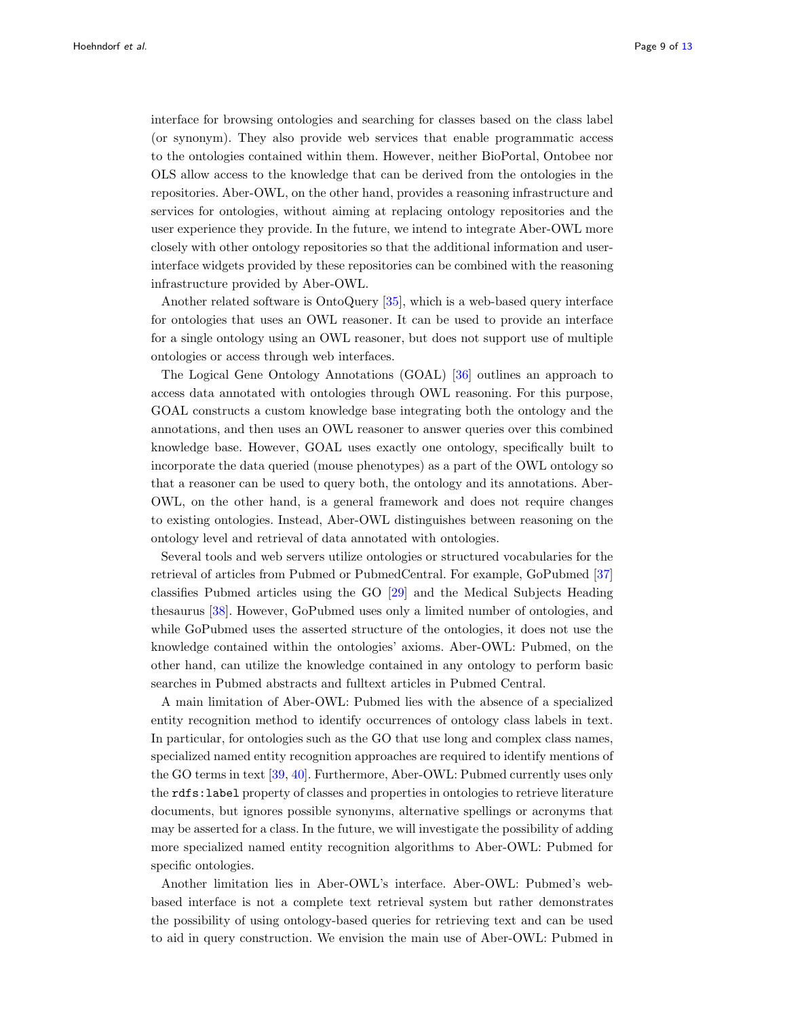interface for browsing ontologies and searching for classes based on the class label (or synonym). They also provide web services that enable programmatic access to the ontologies contained within them. However, neither BioPortal, Ontobee nor OLS allow access to the knowledge that can be derived from the ontologies in the repositories. Aber-OWL, on the other hand, provides a reasoning infrastructure and services for ontologies, without aiming at replacing ontology repositories and the user experience they provide. In the future, we intend to integrate Aber-OWL more closely with other ontology repositories so that the additional information and userinterface widgets provided by these repositories can be combined with the reasoning infrastructure provided by Aber-OWL.

Another related software is OntoQuery [\[35](#page-11-26)], which is a web-based query interface for ontologies that uses an OWL reasoner. It can be used to provide an interface for a single ontology using an OWL reasoner, but does not support use of multiple ontologies or access through web interfaces.

The Logical Gene Ontology Annotations (GOAL) [\[36\]](#page-11-27) outlines an approach to access data annotated with ontologies through OWL reasoning. For this purpose, GOAL constructs a custom knowledge base integrating both the ontology and the annotations, and then uses an OWL reasoner to answer queries over this combined knowledge base. However, GOAL uses exactly one ontology, specifically built to incorporate the data queried (mouse phenotypes) as a part of the OWL ontology so that a reasoner can be used to query both, the ontology and its annotations. Aber-OWL, on the other hand, is a general framework and does not require changes to existing ontologies. Instead, Aber-OWL distinguishes between reasoning on the ontology level and retrieval of data annotated with ontologies.

Several tools and web servers utilize ontologies or structured vocabularies for the retrieval of articles from Pubmed or PubmedCentral. For example, GoPubmed [\[37\]](#page-11-28) classifies Pubmed articles using the GO [\[29\]](#page-11-20) and the Medical Subjects Heading thesaurus [\[38](#page-11-29)]. However, GoPubmed uses only a limited number of ontologies, and while GoPubmed uses the asserted structure of the ontologies, it does not use the knowledge contained within the ontologies' axioms. Aber-OWL: Pubmed, on the other hand, can utilize the knowledge contained in any ontology to perform basic searches in Pubmed abstracts and fulltext articles in Pubmed Central.

A main limitation of Aber-OWL: Pubmed lies with the absence of a specialized entity recognition method to identify occurrences of ontology class labels in text. In particular, for ontologies such as the GO that use long and complex class names, specialized named entity recognition approaches are required to identify mentions of the GO terms in text [\[39,](#page-11-30) [40\]](#page-12-1). Furthermore, Aber-OWL: Pubmed currently uses only the rdfs:label property of classes and properties in ontologies to retrieve literature documents, but ignores possible synonyms, alternative spellings or acronyms that may be asserted for a class. In the future, we will investigate the possibility of adding more specialized named entity recognition algorithms to Aber-OWL: Pubmed for specific ontologies.

Another limitation lies in Aber-OWL's interface. Aber-OWL: Pubmed's webbased interface is not a complete text retrieval system but rather demonstrates the possibility of using ontology-based queries for retrieving text and can be used to aid in query construction. We envision the main use of Aber-OWL: Pubmed in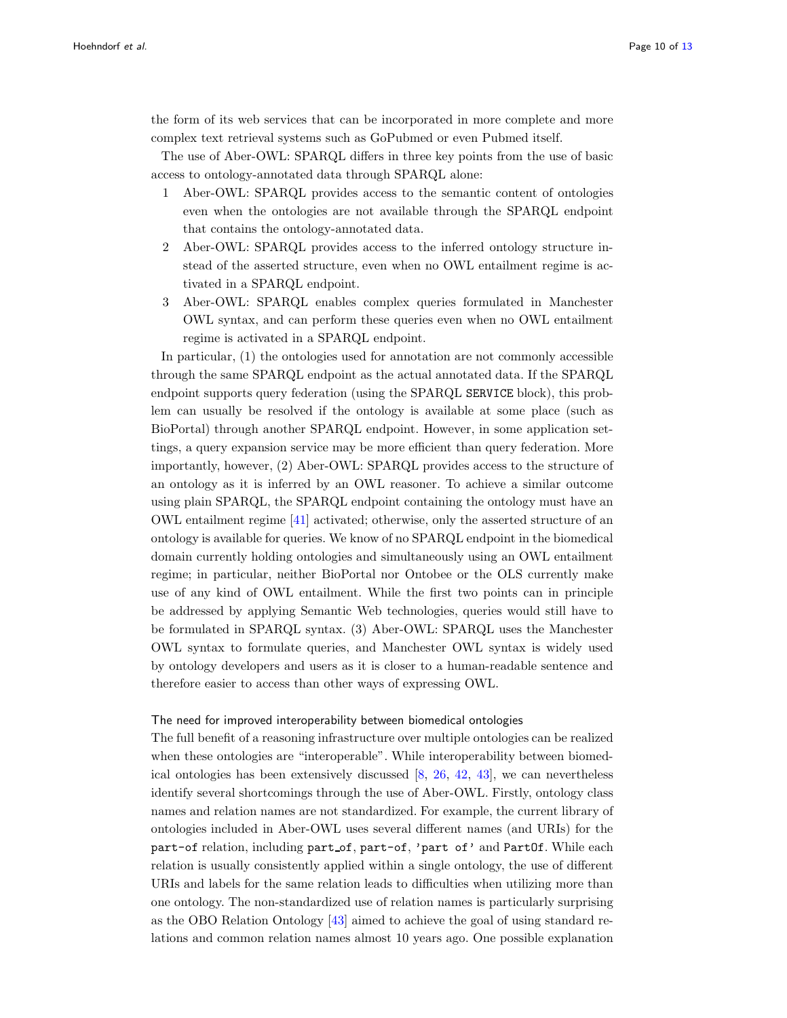the form of its web services that can be incorporated in more complete and more complex text retrieval systems such as GoPubmed or even Pubmed itself.

The use of Aber-OWL: SPARQL differs in three key points from the use of basic access to ontology-annotated data through SPARQL alone:

- 1 Aber-OWL: SPARQL provides access to the semantic content of ontologies even when the ontologies are not available through the SPARQL endpoint that contains the ontology-annotated data.
- 2 Aber-OWL: SPARQL provides access to the inferred ontology structure instead of the asserted structure, even when no OWL entailment regime is activated in a SPARQL endpoint.
- 3 Aber-OWL: SPARQL enables complex queries formulated in Manchester OWL syntax, and can perform these queries even when no OWL entailment regime is activated in a SPARQL endpoint.

In particular, (1) the ontologies used for annotation are not commonly accessible through the same SPARQL endpoint as the actual annotated data. If the SPARQL endpoint supports query federation (using the SPARQL SERVICE block), this problem can usually be resolved if the ontology is available at some place (such as BioPortal) through another SPARQL endpoint. However, in some application settings, a query expansion service may be more efficient than query federation. More importantly, however, (2) Aber-OWL: SPARQL provides access to the structure of an ontology as it is inferred by an OWL reasoner. To achieve a similar outcome using plain SPARQL, the SPARQL endpoint containing the ontology must have an OWL entailment regime [\[41](#page-12-2)] activated; otherwise, only the asserted structure of an ontology is available for queries. We know of no SPARQL endpoint in the biomedical domain currently holding ontologies and simultaneously using an OWL entailment regime; in particular, neither BioPortal nor Ontobee or the OLS currently make use of any kind of OWL entailment. While the first two points can in principle be addressed by applying Semantic Web technologies, queries would still have to be formulated in SPARQL syntax. (3) Aber-OWL: SPARQL uses the Manchester OWL syntax to formulate queries, and Manchester OWL syntax is widely used by ontology developers and users as it is closer to a human-readable sentence and therefore easier to access than other ways of expressing OWL.

#### The need for improved interoperability between biomedical ontologies

The full benefit of a reasoning infrastructure over multiple ontologies can be realized when these ontologies are "interoperable". While interoperability between biomedical ontologies has been extensively discussed [\[8](#page-10-9), [26](#page-11-17), [42,](#page-12-3) [43\]](#page-12-4), we can nevertheless identify several shortcomings through the use of Aber-OWL. Firstly, ontology class names and relation names are not standardized. For example, the current library of ontologies included in Aber-OWL uses several different names (and URIs) for the part-of relation, including part of, part-of, 'part of' and PartOf. While each relation is usually consistently applied within a single ontology, the use of different URIs and labels for the same relation leads to difficulties when utilizing more than one ontology. The non-standardized use of relation names is particularly surprising as the OBO Relation Ontology [\[43\]](#page-12-4) aimed to achieve the goal of using standard relations and common relation names almost 10 years ago. One possible explanation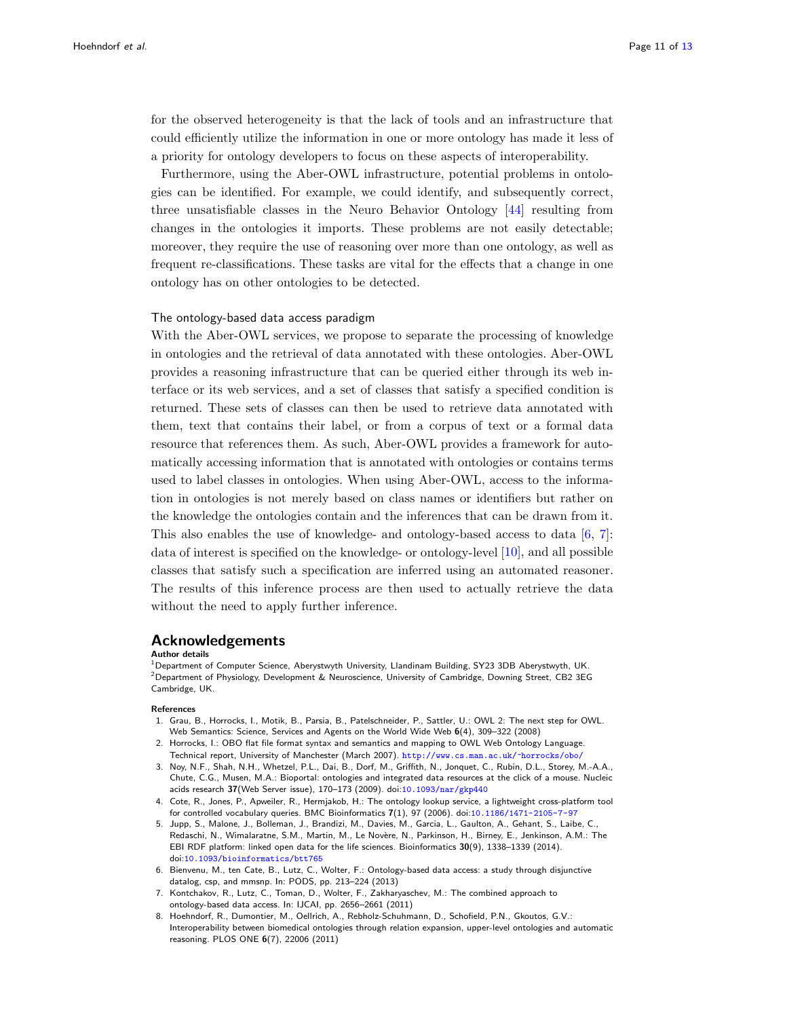for the observed heterogeneity is that the lack of tools and an infrastructure that could efficiently utilize the information in one or more ontology has made it less of a priority for ontology developers to focus on these aspects of interoperability.

Furthermore, using the Aber-OWL infrastructure, potential problems in ontologies can be identified. For example, we could identify, and subsequently correct, three unsatisfiable classes in the Neuro Behavior Ontology [\[44\]](#page-12-5) resulting from changes in the ontologies it imports. These problems are not easily detectable; moreover, they require the use of reasoning over more than one ontology, as well as frequent re-classifications. These tasks are vital for the effects that a change in one ontology has on other ontologies to be detected.

#### The ontology-based data access paradigm

With the Aber-OWL services, we propose to separate the processing of knowledge in ontologies and the retrieval of data annotated with these ontologies. Aber-OWL provides a reasoning infrastructure that can be queried either through its web interface or its web services, and a set of classes that satisfy a specified condition is returned. These sets of classes can then be used to retrieve data annotated with them, text that contains their label, or from a corpus of text or a formal data resource that references them. As such, Aber-OWL provides a framework for automatically accessing information that is annotated with ontologies or contains terms used to label classes in ontologies. When using Aber-OWL, access to the information in ontologies is not merely based on class names or identifiers but rather on the knowledge the ontologies contain and the inferences that can be drawn from it. This also enables the use of knowledge- and ontology-based access to data [\[6,](#page-10-7) [7\]](#page-10-8): data of interest is specified on the knowledge- or ontology-level [\[10\]](#page-11-1), and all possible classes that satisfy such a specification are inferred using an automated reasoner. The results of this inference process are then used to actually retrieve the data without the need to apply further inference.

### Acknowledgements

Author details

<span id="page-10-1"></span><span id="page-10-0"></span><sup>1</sup>Department of Computer Science, Aberystwyth University, Llandinam Building, SY23 3DB Aberystwyth, UK.  $^2$ Department of Physiology, Development & Neuroscience, University of Cambridge, Downing Street, CB2 3EG Cambridge, UK.

#### References

- <span id="page-10-2"></span>1. Grau, B., Horrocks, I., Motik, B., Parsia, B., Patelschneider, P., Sattler, U.: OWL 2: The next step for OWL. Web Semantics: Science, Services and Agents on the World Wide Web 6(4), 309–322 (2008)
- <span id="page-10-3"></span>2. Horrocks, I.: OBO flat file format syntax and semantics and mapping to OWL Web Ontology Language. Technical report, University of Manchester (March 2007). <http://www.cs.man.ac.uk/~horrocks/obo/>
- <span id="page-10-4"></span>3. Noy, N.F., Shah, N.H., Whetzel, P.L., Dai, B., Dorf, M., Griffith, N., Jonquet, C., Rubin, D.L., Storey, M.-A.A., Chute, C.G., Musen, M.A.: Bioportal: ontologies and integrated data resources at the click of a mouse. Nucleic acids research 37(Web Server issue), 170–173 (2009). doi:<10.1093/nar/gkp440>
- <span id="page-10-5"></span>4. Cote, R., Jones, P., Apweiler, R., Hermjakob, H.: The ontology lookup service, a lightweight cross-platform tool for controlled vocabulary queries. BMC Bioinformatics 7(1), 97 (2006). doi:<10.1186/1471-2105-7-97>
- <span id="page-10-6"></span>5. Jupp, S., Malone, J., Bolleman, J., Brandizi, M., Davies, M., Garcia, L., Gaulton, A., Gehant, S., Laibe, C., Redaschi, N., Wimalaratne, S.M., Martin, M., Le Novère, N., Parkinson, H., Birney, E., Jenkinson, A.M.: The EBI RDF platform: linked open data for the life sciences. Bioinformatics 30(9), 1338–1339 (2014). doi:<10.1093/bioinformatics/btt765>
- <span id="page-10-7"></span>6. Bienvenu, M., ten Cate, B., Lutz, C., Wolter, F.: Ontology-based data access: a study through disjunctive datalog, csp, and mmsnp. In: PODS, pp. 213–224 (2013)
- <span id="page-10-8"></span>7. Kontchakov, R., Lutz, C., Toman, D., Wolter, F., Zakharyaschev, M.: The combined approach to ontology-based data access. In: IJCAI, pp. 2656–2661 (2011)
- <span id="page-10-9"></span>8. Hoehndorf, R., Dumontier, M., Oellrich, A., Rebholz-Schuhmann, D., Schofield, P.N., Gkoutos, G.V.: Interoperability between biomedical ontologies through relation expansion, upper-level ontologies and automatic reasoning. PLOS ONE 6(7), 22006 (2011)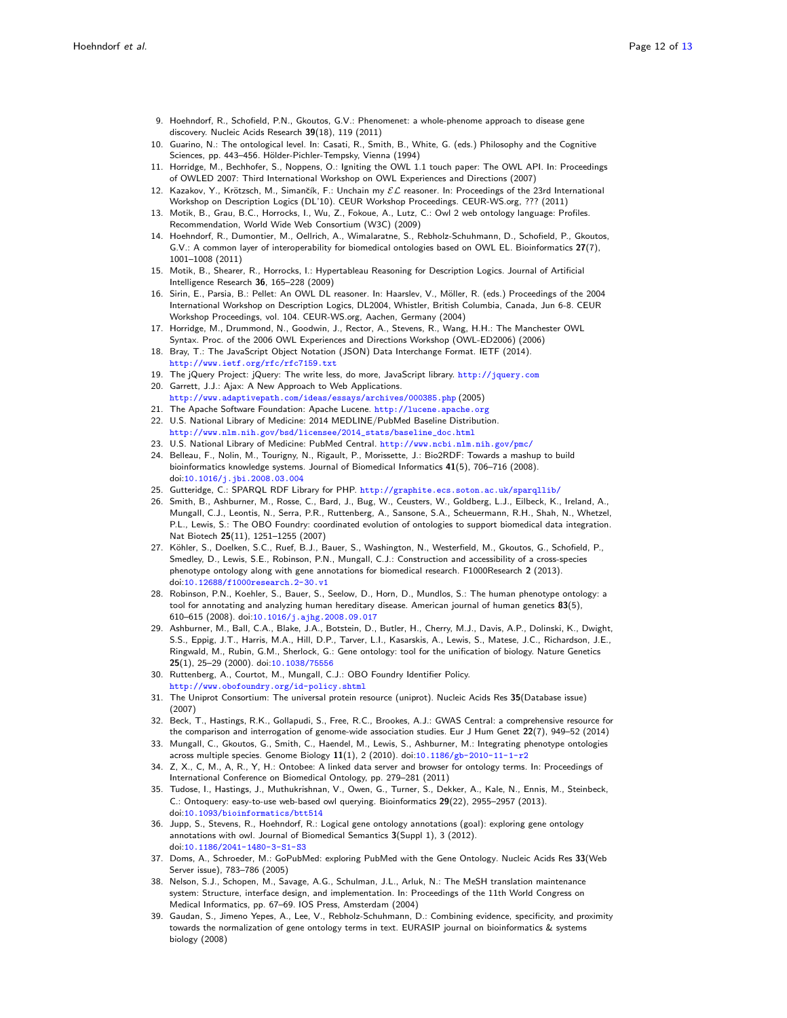- <span id="page-11-0"></span>9. Hoehndorf, R., Schofield, P.N., Gkoutos, G.V.: Phenomenet: a whole-phenome approach to disease gene discovery. Nucleic Acids Research 39(18), 119 (2011)
- <span id="page-11-1"></span>10. Guarino, N.: The ontological level. In: Casati, R., Smith, B., White, G. (eds.) Philosophy and the Cognitive Sciences, pp. 443–456. Hölder-Pichler-Tempsky, Vienna (1994)
- <span id="page-11-2"></span>11. Horridge, M., Bechhofer, S., Noppens, O.: Igniting the OWL 1.1 touch paper: The OWL API. In: Proceedings of OWLED 2007: Third International Workshop on OWL Experiences and Directions (2007)
- <span id="page-11-3"></span>12. Kazakov, Y., Krötzsch, M., Simančík, F.: Unchain my  $\mathcal{EL}$  reasoner. In: Proceedings of the 23rd International Workshop on Description Logics (DL'10). CEUR Workshop Proceedings. CEUR-WS.org, ??? (2011)
- <span id="page-11-4"></span>13. Motik, B., Grau, B.C., Horrocks, I., Wu, Z., Fokoue, A., Lutz, C.: Owl 2 web ontology language: Profiles. Recommendation, World Wide Web Consortium (W3C) (2009)
- <span id="page-11-5"></span>14. Hoehndorf, R., Dumontier, M., Oellrich, A., Wimalaratne, S., Rebholz-Schuhmann, D., Schofield, P., Gkoutos, G.V.: A common layer of interoperability for biomedical ontologies based on OWL EL. Bioinformatics 27(7), 1001–1008 (2011)
- <span id="page-11-6"></span>15. Motik, B., Shearer, R., Horrocks, I.: Hypertableau Reasoning for Description Logics. Journal of Artificial Intelligence Research 36, 165–228 (2009)
- <span id="page-11-7"></span>16. Sirin, E., Parsia, B.: Pellet: An OWL DL reasoner. In: Haarslev, V., Möller, R. (eds.) Proceedings of the 2004 International Workshop on Description Logics, DL2004, Whistler, British Columbia, Canada, Jun 6-8. CEUR Workshop Proceedings, vol. 104. CEUR-WS.org, Aachen, Germany (2004)
- <span id="page-11-8"></span>17. Horridge, M., Drummond, N., Goodwin, J., Rector, A., Stevens, R., Wang, H.H.: The Manchester OWL Syntax. Proc. of the 2006 OWL Experiences and Directions Workshop (OWL-ED2006) (2006)
- <span id="page-11-9"></span>18. Bray, T.: The JavaScript Object Notation (JSON) Data Interchange Format. IETF (2014) <http://www.ietf.org/rfc/rfc7159.txt>
- <span id="page-11-10"></span>19. The jQuery Project: jQuery: The write less, do more, JavaScript library. <http://jquery.com>
- <span id="page-11-11"></span>20. Garrett, J.J.: Ajax: A New Approach to Web Applications. <http://www.adaptivepath.com/ideas/essays/archives/000385.php> (2005)
- <span id="page-11-12"></span>21. The Apache Software Foundation: Apache Lucene. <http://lucene.apache.org>
- <span id="page-11-13"></span>22. U.S. National Library of Medicine: 2014 MEDLINE/PubMed Baseline Distribution. [http://www.nlm.nih.gov/bsd/licensee/2014\\_stats/baseline\\_doc.html](http://www.nlm.nih.gov/bsd/licensee/2014_stats/baseline_doc.html)
- <span id="page-11-14"></span>23. U.S. National Library of Medicine: PubMed Central. <http://www.ncbi.nlm.nih.gov/pmc/>
- <span id="page-11-15"></span>24. Belleau, F., Nolin, M., Tourigny, N., Rigault, P., Morissette, J.: Bio2RDF: Towards a mashup to build bioinformatics knowledge systems. Journal of Biomedical Informatics 41(5), 706–716 (2008). doi:<10.1016/j.jbi.2008.03.004>
- <span id="page-11-16"></span>25. Gutteridge, C.: SPARQL RDF Library for PHP. <http://graphite.ecs.soton.ac.uk/sparqllib/>
- <span id="page-11-17"></span>26. Smith, B., Ashburner, M., Rosse, C., Bard, J., Bug, W., Ceusters, W., Goldberg, L.J., Eilbeck, K., Ireland, A., Mungall, C.J., Leontis, N., Serra, P.R., Ruttenberg, A., Sansone, S.A., Scheuermann, R.H., Shah, N., Whetzel, P.L., Lewis, S.: The OBO Foundry: coordinated evolution of ontologies to support biomedical data integration. Nat Biotech 25(11), 1251–1255 (2007)
- <span id="page-11-18"></span>27. Köhler, S., Doelken, S.C., Ruef, B.J., Bauer, S., Washington, N., Westerfield, M., Gkoutos, G., Schofield, P., Smedley, D., Lewis, S.E., Robinson, P.N., Mungall, C.J.: Construction and accessibility of a cross-species phenotype ontology along with gene annotations for biomedical research. F1000Research 2 (2013). doi:<10.12688/f1000research.2-30.v1>
- <span id="page-11-19"></span>28. Robinson, P.N., Koehler, S., Bauer, S., Seelow, D., Horn, D., Mundlos, S.: The human phenotype ontology: a tool for annotating and analyzing human hereditary disease. American journal of human genetics 83(5), 610–615 (2008). doi:<10.1016/j.ajhg.2008.09.017>
- <span id="page-11-20"></span>29. Ashburner, M., Ball, C.A., Blake, J.A., Botstein, D., Butler, H., Cherry, M.J., Davis, A.P., Dolinski, K., Dwight, S.S., Eppig, J.T., Harris, M.A., Hill, D.P., Tarver, L.I., Kasarskis, A., Lewis, S., Matese, J.C., Richardson, J.E., Ringwald, M., Rubin, G.M., Sherlock, G.: Gene ontology: tool for the unification of biology. Nature Genetics 25(1), 25–29 (2000). doi:<10.1038/75556>
- <span id="page-11-21"></span>30. Ruttenberg, A., Courtot, M., Mungall, C.J.: OBO Foundry Identifier Policy. <http://www.obofoundry.org/id-policy.shtml>
- <span id="page-11-22"></span>31. The Uniprot Consortium: The universal protein resource (uniprot). Nucleic Acids Res 35(Database issue) (2007)
- <span id="page-11-23"></span>32. Beck, T., Hastings, R.K., Gollapudi, S., Free, R.C., Brookes, A.J.: GWAS Central: a comprehensive resource for the comparison and interrogation of genome-wide association studies. Eur J Hum Genet 22(7), 949–52 (2014)
- <span id="page-11-24"></span>33. Mungall, C., Gkoutos, G., Smith, C., Haendel, M., Lewis, S., Ashburner, M.: Integrating phenotype ontologies across multiple species. Genome Biology  $11(1)$ , 2 (2010). doi:<10.1186/gb-2010-11-1-r2>
- <span id="page-11-25"></span>34. Z, X., C, M., A, R., Y, H.: Ontobee: A linked data server and browser for ontology terms. In: Proceedings of International Conference on Biomedical Ontology, pp. 279–281 (2011)
- <span id="page-11-26"></span>35. Tudose, I., Hastings, J., Muthukrishnan, V., Owen, G., Turner, S., Dekker, A., Kale, N., Ennis, M., Steinbeck, C.: Ontoquery: easy-to-use web-based owl querying. Bioinformatics 29(22), 2955–2957 (2013). doi:<10.1093/bioinformatics/btt514>
- <span id="page-11-27"></span>36. Jupp, S., Stevens, R., Hoehndorf, R.: Logical gene ontology annotations (goal): exploring gene ontology annotations with owl. Journal of Biomedical Semantics 3(Suppl 1), 3 (2012). doi:<10.1186/2041-1480-3-S1-S3>
- <span id="page-11-28"></span>37. Doms, A., Schroeder, M.: GoPubMed: exploring PubMed with the Gene Ontology. Nucleic Acids Res 33(Web Server issue), 783–786 (2005)
- <span id="page-11-29"></span>38. Nelson, S.J., Schopen, M., Savage, A.G., Schulman, J.L., Arluk, N.: The MeSH translation maintenance system: Structure, interface design, and implementation. In: Proceedings of the 11th World Congress on Medical Informatics, pp. 67–69. IOS Press, Amsterdam (2004)
- <span id="page-11-30"></span>39. Gaudan, S., Jimeno Yepes, A., Lee, V., Rebholz-Schuhmann, D.: Combining evidence, specificity, and proximity towards the normalization of gene ontology terms in text. EURASIP journal on bioinformatics & systems biology (2008)